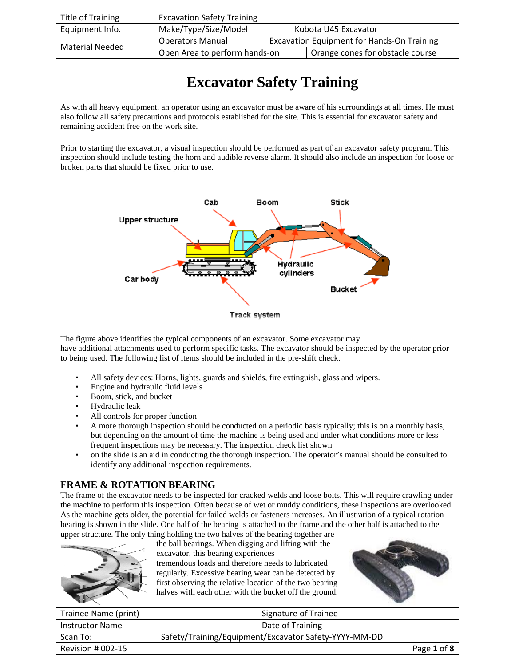| <b>Title of Training</b> | <b>Excavation Safety Training</b> |                                                   |                                  |
|--------------------------|-----------------------------------|---------------------------------------------------|----------------------------------|
| Equipment Info.          | Make/Type/Size/Model              |                                                   | Kubota U45 Excavator             |
| <b>Material Needed</b>   | <b>Operators Manual</b>           | <b>Excavation Equipment for Hands-On Training</b> |                                  |
|                          | Open Area to perform hands-on     |                                                   | Orange cones for obstacle course |

# **Excavator Safety Training**

As with all heavy equipment, an operator using an excavator must be aware of his surroundings at all times. He must also follow all safety precautions and protocols established for the site. This is essential for excavator safety and remaining accident free on the work site.

Prior to starting the excavator, a visual inspection should be performed as part of an excavator safety program. This inspection should include testing the horn and audible reverse alarm. It should also include an inspection for loose or broken parts that should be fixed prior to use.



The figure above identifies the typical components of an excavator. Some excavator may have additional attachments used to perform specific tasks. The excavator should be inspected by the operator prior to being used. The following list of items should be included in the pre-shift check.

- All safety devices: Horns, lights, guards and shields, fire extinguish, glass and wipers.
- Engine and hydraulic fluid levels
- Boom, stick, and bucket
- Hydraulic leak
- All controls for proper function
- A more thorough inspection should be conducted on a periodic basis typically; this is on a monthly basis, but depending on the amount of time the machine is being used and under what conditions more or less frequent inspections may be necessary. The inspection check list shown
- on the slide is an aid in conducting the thorough inspection. The operator's manual should be consulted to identify any additional inspection requirements.

#### **FRAME & ROTATION BEARING**

The frame of the excavator needs to be inspected for cracked welds and loose bolts. This will require crawling under the machine to perform this inspection. Often because of wet or muddy conditions, these inspections are overlooked. As the machine gets older, the potential for failed welds or fasteners increases. An illustration of a typical rotation bearing is shown in the slide. One half of the bearing is attached to the frame and the other half is attached to the upper structure. The only thing holding the two halves of the bearing together are



the ball bearings. When digging and lifting with the excavator, this bearing experiences tremendous loads and therefore needs to lubricated regularly. Excessive bearing wear can be detected by first observing the relative location of the two bearing halves with each other with the bucket off the ground.



| Trainee Name (print)   | Signature of Trainee                                  |             |
|------------------------|-------------------------------------------------------|-------------|
| <b>Instructor Name</b> | Date of Training                                      |             |
| Scan To:               | Safety/Training/Equipment/Excavator Safety-YYYY-MM-DD |             |
| Revision # 002-15      |                                                       | Page 1 of 8 |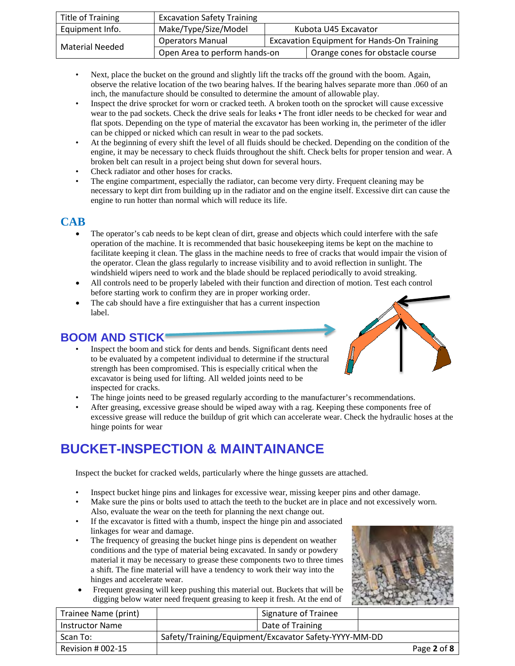| <b>Title of Training</b> | <b>Excavation Safety Training</b> |                                                   |                                  |
|--------------------------|-----------------------------------|---------------------------------------------------|----------------------------------|
| Equipment Info.          | Make/Type/Size/Model              |                                                   | Kubota U45 Excavator             |
| <b>Material Needed</b>   | <b>Operators Manual</b>           | <b>Excavation Equipment for Hands-On Training</b> |                                  |
|                          | Open Area to perform hands-on     |                                                   | Orange cones for obstacle course |

- Next, place the bucket on the ground and slightly lift the tracks off the ground with the boom. Again, observe the relative location of the two bearing halves. If the bearing halves separate more than .060 of an inch, the manufacture should be consulted to determine the amount of allowable play.
- Inspect the drive sprocket for worn or cracked teeth. A broken tooth on the sprocket will cause excessive wear to the pad sockets. Check the drive seals for leaks • The front idler needs to be checked for wear and flat spots. Depending on the type of material the excavator has been working in, the perimeter of the idler can be chipped or nicked which can result in wear to the pad sockets.
- At the beginning of every shift the level of all fluids should be checked. Depending on the condition of the engine, it may be necessary to check fluids throughout the shift. Check belts for proper tension and wear. A broken belt can result in a project being shut down for several hours.
- Check radiator and other hoses for cracks.
- The engine compartment, especially the radiator, can become very dirty. Frequent cleaning may be necessary to kept dirt from building up in the radiator and on the engine itself. Excessive dirt can cause the engine to run hotter than normal which will reduce its life.

#### **CAB**

- The operator's cab needs to be kept clean of dirt, grease and objects which could interfere with the safe operation of the machine. It is recommended that basic housekeeping items be kept on the machine to facilitate keeping it clean. The glass in the machine needs to free of cracks that would impair the vision of the operator. Clean the glass regularly to increase visibility and to avoid reflection in sunlight. The windshield wipers need to work and the blade should be replaced periodically to avoid streaking.
- All controls need to be properly labeled with their function and direction of motion. Test each control before starting work to confirm they are in proper working order.
- The cab should have a fire extinguisher that has a current inspection label.

### **BOOM AND STICK**

- Inspect the boom and stick for dents and bends. Significant dents need to be evaluated by a competent individual to determine if the structural strength has been compromised. This is especially critical when the excavator is being used for lifting. All welded joints need to be inspected for cracks.
- The hinge joints need to be greased regularly according to the manufacturer's recommendations.
- After greasing, excessive grease should be wiped away with a rag. Keeping these components free of excessive grease will reduce the buildup of grit which can accelerate wear. Check the hydraulic hoses at the hinge points for wear

## **BUCKET-INSPECTION & MAINTAINANCE**

Inspect the bucket for cracked welds, particularly where the hinge gussets are attached.

- Inspect bucket hinge pins and linkages for excessive wear, missing keeper pins and other damage.
- Make sure the pins or bolts used to attach the teeth to the bucket are in place and not excessively worn. Also, evaluate the wear on the teeth for planning the next change out.
- If the excavator is fitted with a thumb, inspect the hinge pin and associated linkages for wear and damage.
- The frequency of greasing the bucket hinge pins is dependent on weather conditions and the type of material being excavated. In sandy or powdery material it may be necessary to grease these components two to three times a shift. The fine material will have a tendency to work their way into the hinges and accelerate wear.
- Frequent greasing will keep pushing this material out. Buckets that will be digging below water need frequent greasing to keep it fresh. At the end of



| Trainee Name (print)   | Signature of Trainee                                  |             |
|------------------------|-------------------------------------------------------|-------------|
| <b>Instructor Name</b> | Date of Training                                      |             |
| Scan To:               | Safety/Training/Equipment/Excavator Safety-YYYY-MM-DD |             |
| Revision $\#$ 002-15   |                                                       | Page 2 of 8 |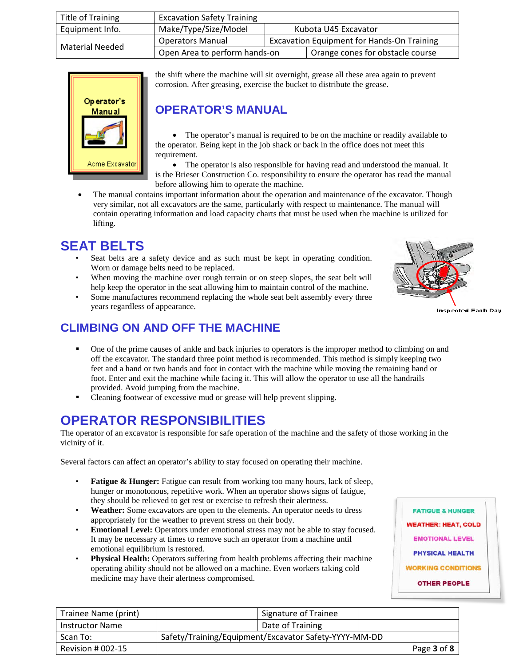| Title of Training | <b>Excavation Safety Training</b>            |                                                   |                                  |
|-------------------|----------------------------------------------|---------------------------------------------------|----------------------------------|
| Equipment Info.   | Make/Type/Size/Model<br>Kubota U45 Excavator |                                                   |                                  |
| Material Needed   | <b>Operators Manual</b>                      | <b>Excavation Equipment for Hands-On Training</b> |                                  |
|                   | Open Area to perform hands-on                |                                                   | Orange cones for obstacle course |



the shift where the machine will sit overnight, grease all these area again to prevent corrosion. After greasing, exercise the bucket to distribute the grease.

### **OPERATOR'S MANUAL**

• The operator's manual is required to be on the machine or readily available to the operator. Being kept in the job shack or back in the office does not meet this requirement.

• The operator is also responsible for having read and understood the manual. It is the Brieser Construction Co. responsibility to ensure the operator has read the manual before allowing him to operate the machine.

The manual contains important information about the operation and maintenance of the excavator. Though very similar, not all excavators are the same, particularly with respect to maintenance. The manual will contain operating information and load capacity charts that must be used when the machine is utilized for lifting.

# **SEAT BELTS**

- Seat belts are a safety device and as such must be kept in operating condition. Worn or damage belts need to be replaced.
- When moving the machine over rough terrain or on steep slopes, the seat belt will help keep the operator in the seat allowing him to maintain control of the machine.
- Some manufactures recommend replacing the whole seat belt assembly every three years regardless of appearance.



**Inspected Each Day** 

### **CLIMBING ON AND OFF THE MACHINE**

- One of the prime causes of ankle and back injuries to operators is the improper method to climbing on and off the excavator. The standard three point method is recommended. This method is simply keeping two feet and a hand or two hands and foot in contact with the machine while moving the remaining hand or foot. Enter and exit the machine while facing it. This will allow the operator to use all the handrails provided. Avoid jumping from the machine.
- Cleaning footwear of excessive mud or grease will help prevent slipping.

## **OPERATOR RESPONSIBILITIES**

The operator of an excavator is responsible for safe operation of the machine and the safety of those working in the vicinity of it.

Several factors can affect an operator's ability to stay focused on operating their machine.

- **Fatigue & Hunger:** Fatigue can result from working too many hours, lack of sleep, hunger or monotonous, repetitive work. When an operator shows signs of fatigue, they should be relieved to get rest or exercise to refresh their alertness.
- **Weather:** Some excavators are open to the elements. An operator needs to dress appropriately for the weather to prevent stress on their body.
- **Emotional Level:** Operators under emotional stress may not be able to stay focused. It may be necessary at times to remove such an operator from a machine until emotional equilibrium is restored.
- **Physical Health:** Operators suffering from health problems affecting their machine operating ability should not be allowed on a machine. Even workers taking cold medicine may have their alertness compromised.

**FATIGUE & HUNGER WEATHER: HEAT, COLD EMOTIONAL LEVEL PHYSICAL HEALTH WORKING CONDITIONS OTHER PEOPLE** 

| Trainee Name (print)   | Signature of Trainee                                  |             |
|------------------------|-------------------------------------------------------|-------------|
| <b>Instructor Name</b> | Date of Training                                      |             |
| Scan To:               | Safety/Training/Equipment/Excavator Safety-YYYY-MM-DD |             |
| Revision # 002-15      |                                                       | Page 3 of 8 |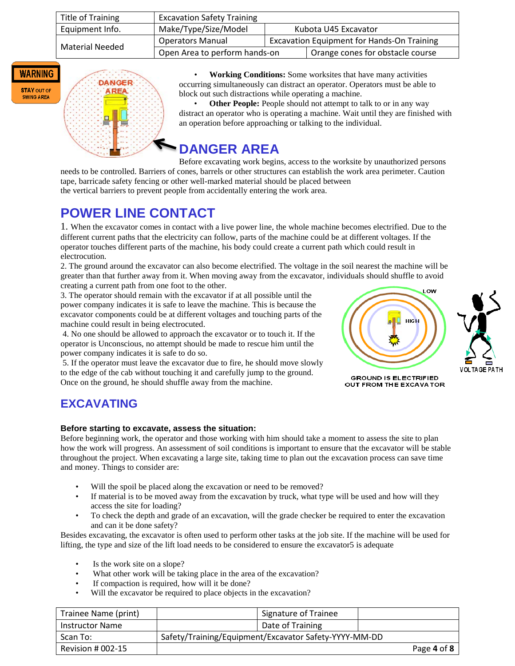| Title of Training | <b>Excavation Safety Training</b>            |                                                   |                                  |
|-------------------|----------------------------------------------|---------------------------------------------------|----------------------------------|
| Equipment Info.   | Make/Type/Size/Model<br>Kubota U45 Excavator |                                                   |                                  |
| Material Needed   | <b>Operators Manual</b>                      | <b>Excavation Equipment for Hands-On Training</b> |                                  |
|                   | Open Area to perform hands-on                |                                                   | Orange cones for obstacle course |



**STAY OUT OF SWING AREA** 

**DANGER** 

• **Working Conditions:** Some worksites that have many activities occurring simultaneously can distract an operator. Operators must be able to block out such distractions while operating a machine.

**Other People:** People should not attempt to talk to or in any way distract an operator who is operating a machine. Wait until they are finished with an operation before approaching or talking to the individual.

# **DANGER AREA**

Before excavating work begins, access to the worksite by unauthorized persons needs to be controlled. Barriers of cones, barrels or other structures can establish the work area perimeter. Caution tape, barricade safety fencing or other well-marked material should be placed between the vertical barriers to prevent people from accidentally entering the work area.

## **POWER LINE CONTACT**

1. When the excavator comes in contact with a live power line, the whole machine becomes electrified. Due to the different current paths that the electricity can follow, parts of the machine could be at different voltages. If the operator touches different parts of the machine, his body could create a current path which could result in electrocution.

2. The ground around the excavator can also become electrified. The voltage in the soil nearest the machine will be greater than that further away from it. When moving away from the excavator, individuals should shuffle to avoid creating a current path from one foot to the other.

3. The operator should remain with the excavator if at all possible until the power company indicates it is safe to leave the machine. This is because the excavator components could be at different voltages and touching parts of the machine could result in being electrocuted.

4. No one should be allowed to approach the excavator or to touch it. If the operator is Unconscious, no attempt should be made to rescue him until the power company indicates it is safe to do so.

5. If the operator must leave the excavator due to fire, he should move slowly to the edge of the cab without touching it and carefully jump to the ground. Once on the ground, he should shuffle away from the machine.





**GROUND IS ELECTRIFIED** OUT FROM THE EXCAVATOR

### **EXCAVATING**

#### **Before starting to excavate, assess the situation:**

Before beginning work, the operator and those working with him should take a moment to assess the site to plan how the work will progress. An assessment of soil conditions is important to ensure that the excavator will be stable throughout the project. When excavating a large site, taking time to plan out the excavation process can save time and money. Things to consider are:

- Will the spoil be placed along the excavation or need to be removed?
- If material is to be moved away from the excavation by truck, what type will be used and how will they access the site for loading?
- To check the depth and grade of an excavation, will the grade checker be required to enter the excavation and can it be done safety?

Besides excavating, the excavator is often used to perform other tasks at the job site. If the machine will be used for lifting, the type and size of the lift load needs to be considered to ensure the excavator5 is adequate

- Is the work site on a slope?
- What other work will be taking place in the area of the excavation?
- If compaction is required, how will it be done?
- Will the excavator be required to place objects in the excavation?

| Trainee Name (print)   | <b>Signature of Trainee</b>                           |             |  |
|------------------------|-------------------------------------------------------|-------------|--|
| <b>Instructor Name</b> | Date of Training                                      |             |  |
| Scan To:               | Safety/Training/Equipment/Excavator Safety-YYYY-MM-DD |             |  |
| Revision # 002-15      |                                                       | Page 4 of 8 |  |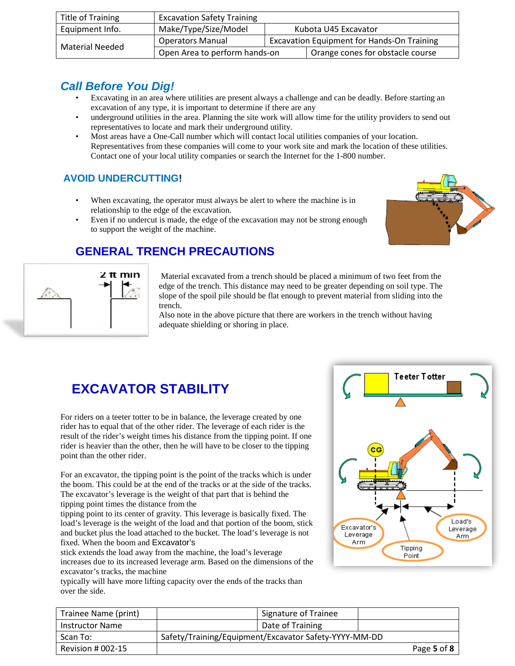| <b>Title of Training</b> | <b>Excavation Safety Training</b> |                                                   |                                  |
|--------------------------|-----------------------------------|---------------------------------------------------|----------------------------------|
| Equipment Info.          | Make/Type/Size/Model              |                                                   | Kubota U45 Excavator             |
| <b>Material Needed</b>   | <b>Operators Manual</b>           | <b>Excavation Equipment for Hands-On Training</b> |                                  |
|                          | Open Area to perform hands-on     |                                                   | Orange cones for obstacle course |

### *Call Before You Dig!*

- Excavating in an area where utilities are present always a challenge and can be deadly. Before starting an excavation of any type, it is important to determine if there are any
- underground utilities in the area. Planning the site work will allow time for the utility providers to send out representatives to locate and mark their underground utility.
- Most areas have a One-Call number which will contact local utilities companies of your location. Representatives from these companies will come to your work site and mark the location of these utilities. Contact one of your local utility companies or search the Internet for the 1-800 number.

#### **AVOID UNDERCUTTING!**

- When excavating, the operator must always be alert to where the machine is in relationship to the edge of the excavation.
- Even if no undercut is made, the edge of the excavation may not be strong enough to support the weight of the machine.



### **GENERAL TRENCH PRECAUTIONS**



Material excavated from a trench should be placed a minimum of two feet from the edge of the trench. This distance may need to be greater depending on soil type. The slope of the spoil pile should be flat enough to prevent material from sliding into the trench.

Also note in the above picture that there are workers in the trench without having adequate shielding or shoring in place.

# **EXCAVATOR STABILITY**

For riders on a teeter totter to be in balance, the leverage created by one rider has to equal that of the other rider. The leverage of each rider is the result of the rider's weight times his distance from the tipping point. If one rider is heavier than the other, then he will have to be closer to the tipping point than the other rider.

For an excavator, the tipping point is the point of the tracks which is under the boom. This could be at the end of the tracks or at the side of the tracks. The excavator's leverage is the weight of that part that is behind the tipping point times the distance from the

tipping point to its center of gravity. This leverage is basically fixed. The load's leverage is the weight of the load and that portion of the boom, stick and bucket plus the load attached to the bucket. The load's leverage is not fixed. When the boom and Excavator's

stick extends the load away from the machine, the load's leverage increases due to its increased leverage arm. Based on the dimensions of the excavator's tracks, the machine

typically will have more lifting capacity over the ends of the tracks than over the side.



| Trainee Name (print) |                                                       | Signature of Trainee |             |
|----------------------|-------------------------------------------------------|----------------------|-------------|
| Instructor Name      |                                                       | Date of Training     |             |
| Scan To:             | Safety/Training/Equipment/Excavator Safety-YYYY-MM-DD |                      |             |
| Revision # 002-15    |                                                       |                      | Page 5 of 8 |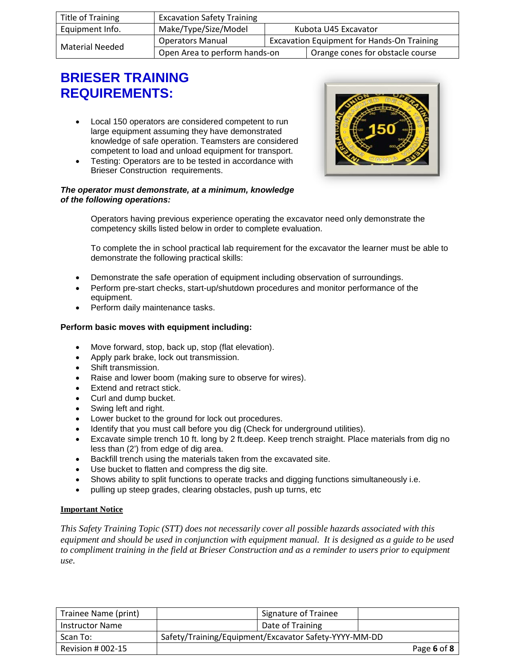| Title of Training | <b>Excavation Safety Training</b>            |                                                   |                                  |
|-------------------|----------------------------------------------|---------------------------------------------------|----------------------------------|
| Equipment Info.   | Make/Type/Size/Model<br>Kubota U45 Excavator |                                                   |                                  |
| Material Needed   | <b>Operators Manual</b>                      | <b>Excavation Equipment for Hands-On Training</b> |                                  |
|                   | Open Area to perform hands-on                |                                                   | Orange cones for obstacle course |

## **BRIESER TRAINING REQUIREMENTS:**

- Local 150 operators are considered competent to run large equipment assuming they have demonstrated knowledge of safe operation. Teamsters are considered competent to load and unload equipment for transport.
- Testing: Operators are to be tested in accordance with Brieser Construction requirements.

#### *The operator must demonstrate, at a minimum, knowledge of the following operations:*



Operators having previous experience operating the excavator need only demonstrate the competency skills listed below in order to complete evaluation.

To complete the in school practical lab requirement for the excavator the learner must be able to demonstrate the following practical skills:

- Demonstrate the safe operation of equipment including observation of surroundings.
- Perform pre-start checks, start-up/shutdown procedures and monitor performance of the equipment.
- Perform daily maintenance tasks.

#### **Perform basic moves with equipment including:**

- Move forward, stop, back up, stop (flat elevation).
- Apply park brake, lock out transmission.
- Shift transmission.
- Raise and lower boom (making sure to observe for wires).
- **Extend and retract stick.**
- Curl and dump bucket.
- Swing left and right.
- Lower bucket to the ground for lock out procedures.
- Identify that you must call before you dig (Check for underground utilities).
- Excavate simple trench 10 ft. long by 2 ft.deep. Keep trench straight. Place materials from dig no less than (2') from edge of dig area.
- Backfill trench using the materials taken from the excavated site.
- Use bucket to flatten and compress the dig site.
- Shows ability to split functions to operate tracks and digging functions simultaneously i.e.
- pulling up steep grades, clearing obstacles, push up turns, etc

#### **Important Notice**

*This Safety Training Topic (STT) does not necessarily cover all possible hazards associated with this equipment and should be used in conjunction with equipment manual. It is designed as a guide to be used to compliment training in the field at Brieser Construction and as a reminder to users prior to equipment use.*

| Trainee Name (print)   | <b>Signature of Trainee</b>                           |             |
|------------------------|-------------------------------------------------------|-------------|
| <b>Instructor Name</b> | Date of Training                                      |             |
| Scan To:               | Safety/Training/Equipment/Excavator Safety-YYYY-MM-DD |             |
| Revision $#002-15$     |                                                       | Page 6 of 8 |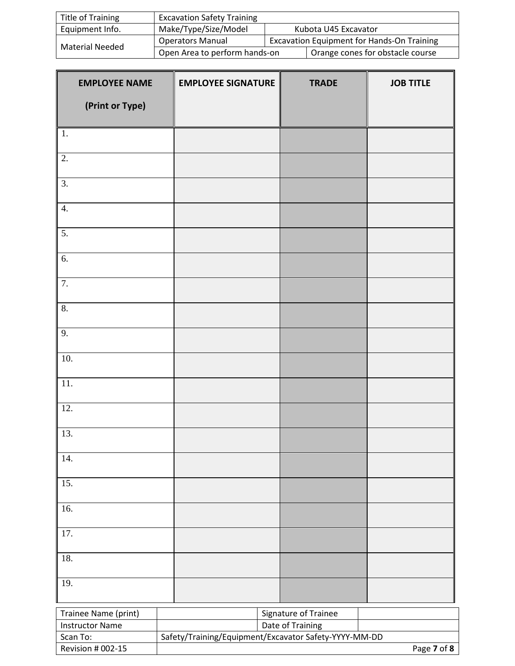| Title of Training | <b>Excavation Safety Training</b> |                                                   |                                  |
|-------------------|-----------------------------------|---------------------------------------------------|----------------------------------|
| Equipment Info.   | Make/Type/Size/Model              | Kubota U45 Excavator                              |                                  |
| Material Needed   | <b>Operators Manual</b>           | <b>Excavation Equipment for Hands-On Training</b> |                                  |
|                   | Open Area to perform hands-on     |                                                   | Orange cones for obstacle course |

| <b>EMPLOYEE NAME</b>                           | <b>EMPLOYEE SIGNATURE</b>                                                 | <b>TRADE</b> | <b>JOB TITLE</b> |
|------------------------------------------------|---------------------------------------------------------------------------|--------------|------------------|
| (Print or Type)                                |                                                                           |              |                  |
|                                                |                                                                           |              |                  |
| 1.                                             |                                                                           |              |                  |
| 2.                                             |                                                                           |              |                  |
| 3.                                             |                                                                           |              |                  |
| 4.                                             |                                                                           |              |                  |
| $\overline{5}$ .                               |                                                                           |              |                  |
| 6.                                             |                                                                           |              |                  |
| 7.                                             |                                                                           |              |                  |
| 8.                                             |                                                                           |              |                  |
| 9.                                             |                                                                           |              |                  |
|                                                |                                                                           |              |                  |
| 10.                                            |                                                                           |              |                  |
| 11.                                            |                                                                           |              |                  |
| 12.                                            |                                                                           |              |                  |
| 13.                                            |                                                                           |              |                  |
| 14.                                            |                                                                           |              |                  |
| 15.                                            |                                                                           |              |                  |
| 16.                                            |                                                                           |              |                  |
| 17.                                            |                                                                           |              |                  |
| 18.                                            |                                                                           |              |                  |
| 19.                                            |                                                                           |              |                  |
|                                                |                                                                           |              |                  |
| Trainee Name (print)<br><b>Instructor Name</b> | Signature of Trainee                                                      |              |                  |
| Scan To:                                       | Date of Training<br>Safety/Training/Equipment/Excavator Safety-YYYY-MM-DD |              |                  |
| Revision # 002-15                              | Page 7 of 8                                                               |              |                  |